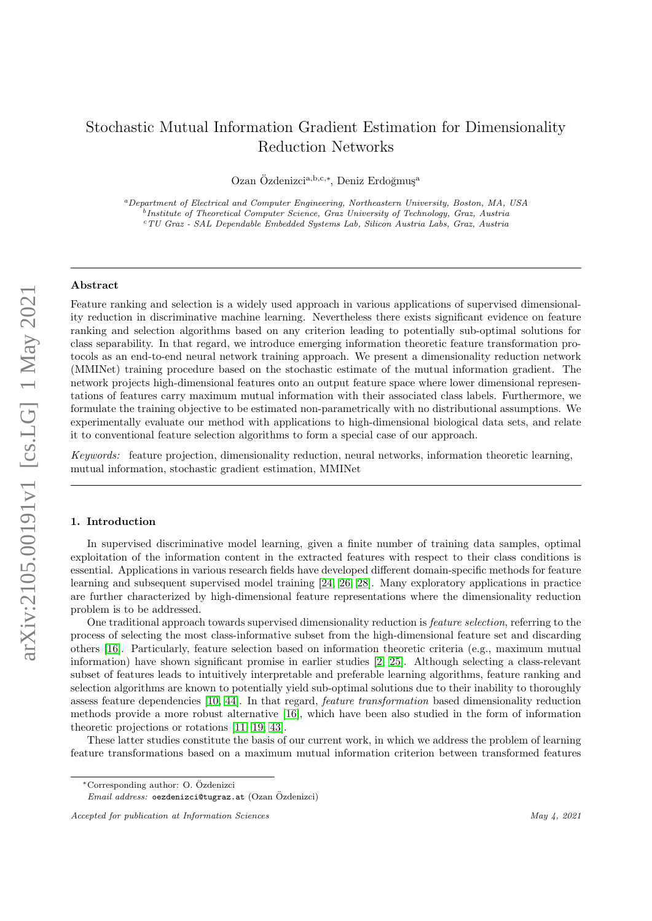# Stochastic Mutual Information Gradient Estimation for Dimensionality Reduction Networks

Ozan Özdenizci<sup>a, b, c,\*</sup>, Deniz Erdoğmuş<sup>a</sup>

<sup>a</sup>Department of Electrical and Computer Engineering, Northeastern University, Boston, MA, USA <sup>b</sup>Institute of Theoretical Computer Science, Graz University of Technology, Graz, Austria <sup>c</sup>TU Graz - SAL Dependable Embedded Systems Lab, Silicon Austria Labs, Graz, Austria

# Abstract

Feature ranking and selection is a widely used approach in various applications of supervised dimensionality reduction in discriminative machine learning. Nevertheless there exists significant evidence on feature ranking and selection algorithms based on any criterion leading to potentially sub-optimal solutions for class separability. In that regard, we introduce emerging information theoretic feature transformation protocols as an end-to-end neural network training approach. We present a dimensionality reduction network (MMINet) training procedure based on the stochastic estimate of the mutual information gradient. The network projects high-dimensional features onto an output feature space where lower dimensional representations of features carry maximum mutual information with their associated class labels. Furthermore, we formulate the training objective to be estimated non-parametrically with no distributional assumptions. We experimentally evaluate our method with applications to high-dimensional biological data sets, and relate it to conventional feature selection algorithms to form a special case of our approach.

Keywords: feature projection, dimensionality reduction, neural networks, information theoretic learning, mutual information, stochastic gradient estimation, MMINet

## <span id="page-0-0"></span>1. Introduction

In supervised discriminative model learning, given a finite number of training data samples, optimal exploitation of the information content in the extracted features with respect to their class conditions is essential. Applications in various research fields have developed different domain-specific methods for feature learning and subsequent supervised model training [\[24,](#page-9-0) [26,](#page-9-1) [28\]](#page-9-2). Many exploratory applications in practice are further characterized by high-dimensional feature representations where the dimensionality reduction problem is to be addressed.

One traditional approach towards supervised dimensionality reduction is feature selection, referring to the process of selecting the most class-informative subset from the high-dimensional feature set and discarding others [\[16\]](#page-8-0). Particularly, feature selection based on information theoretic criteria (e.g., maximum mutual information) have shown significant promise in earlier studies [\[2,](#page-8-1) [25\]](#page-9-3). Although selecting a class-relevant subset of features leads to intuitively interpretable and preferable learning algorithms, feature ranking and selection algorithms are known to potentially yield sub-optimal solutions due to their inability to thoroughly assess feature dependencies [\[10,](#page-8-2) [44\]](#page-9-4). In that regard, feature transformation based dimensionality reduction methods provide a more robust alternative [\[16\]](#page-8-0), which have been also studied in the form of information theoretic projections or rotations [\[11,](#page-8-3) [19,](#page-9-5) [43\]](#page-9-6).

These latter studies constitute the basis of our current work, in which we address the problem of learning feature transformations based on a maximum mutual information criterion between transformed features

<sup>∗</sup>Corresponding author: O. Ozdenizci ¨

 $Email \ address: \ oezdenizci@tugraz.at (Ozan \ Özdenizci)$ 

Accepted for publication at Information Sciences May 4, 2021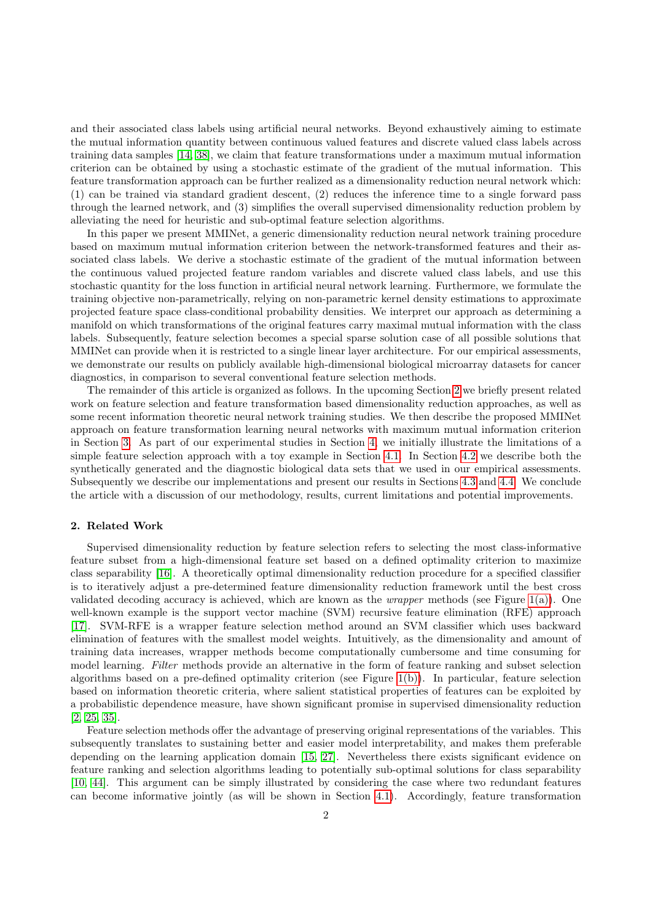and their associated class labels using artificial neural networks. Beyond exhaustively aiming to estimate the mutual information quantity between continuous valued features and discrete valued class labels across training data samples [\[14,](#page-8-4) [38\]](#page-9-7), we claim that feature transformations under a maximum mutual information criterion can be obtained by using a stochastic estimate of the gradient of the mutual information. This feature transformation approach can be further realized as a dimensionality reduction neural network which: (1) can be trained via standard gradient descent, (2) reduces the inference time to a single forward pass through the learned network, and (3) simplifies the overall supervised dimensionality reduction problem by alleviating the need for heuristic and sub-optimal feature selection algorithms.

In this paper we present MMINet, a generic dimensionality reduction neural network training procedure based on maximum mutual information criterion between the network-transformed features and their associated class labels. We derive a stochastic estimate of the gradient of the mutual information between the continuous valued projected feature random variables and discrete valued class labels, and use this stochastic quantity for the loss function in artificial neural network learning. Furthermore, we formulate the training objective non-parametrically, relying on non-parametric kernel density estimations to approximate projected feature space class-conditional probability densities. We interpret our approach as determining a manifold on which transformations of the original features carry maximal mutual information with the class labels. Subsequently, feature selection becomes a special sparse solution case of all possible solutions that MMINet can provide when it is restricted to a single linear layer architecture. For our empirical assessments, we demonstrate our results on publicly available high-dimensional biological microarray datasets for cancer diagnostics, in comparison to several conventional feature selection methods.

The remainder of this article is organized as follows. In the upcoming Section [2](#page-1-0) we briefly present related work on feature selection and feature transformation based dimensionality reduction approaches, as well as some recent information theoretic neural network training studies. We then describe the proposed MMINet approach on feature transformation learning neural networks with maximum mutual information criterion in Section [3.](#page-3-0) As part of our experimental studies in Section [4,](#page-4-0) we initially illustrate the limitations of a simple feature selection approach with a toy example in Section [4.1.](#page-4-1) In Section [4.2](#page-5-0) we describe both the synthetically generated and the diagnostic biological data sets that we used in our empirical assessments. Subsequently we describe our implementations and present our results in Sections [4.3](#page-5-1) and [4.4.](#page-6-0) We conclude the article with a discussion of our methodology, results, current limitations and potential improvements.

## <span id="page-1-0"></span>2. Related Work

Supervised dimensionality reduction by feature selection refers to selecting the most class-informative feature subset from a high-dimensional feature set based on a defined optimality criterion to maximize class separability [\[16\]](#page-8-0). A theoretically optimal dimensionality reduction procedure for a specified classifier is to iteratively adjust a pre-determined feature dimensionality reduction framework until the best cross validated decoding accuracy is achieved, which are known as the wrapper methods (see Figure [1\(a\)\)](#page-2-0). One well-known example is the support vector machine (SVM) recursive feature elimination (RFE) approach [\[17\]](#page-8-5). SVM-RFE is a wrapper feature selection method around an SVM classifier which uses backward elimination of features with the smallest model weights. Intuitively, as the dimensionality and amount of training data increases, wrapper methods become computationally cumbersome and time consuming for model learning. Filter methods provide an alternative in the form of feature ranking and subset selection algorithms based on a pre-defined optimality criterion (see Figure [1\(b\)\)](#page-2-1). In particular, feature selection based on information theoretic criteria, where salient statistical properties of features can be exploited by a probabilistic dependence measure, have shown significant promise in supervised dimensionality reduction [\[2,](#page-8-1) [25,](#page-9-3) [35\]](#page-9-8).

Feature selection methods offer the advantage of preserving original representations of the variables. This subsequently translates to sustaining better and easier model interpretability, and makes them preferable depending on the learning application domain [\[15,](#page-8-6) [27\]](#page-9-9). Nevertheless there exists significant evidence on feature ranking and selection algorithms leading to potentially sub-optimal solutions for class separability [\[10,](#page-8-2) [44\]](#page-9-4). This argument can be simply illustrated by considering the case where two redundant features can become informative jointly (as will be shown in Section [4.1\)](#page-4-1). Accordingly, feature transformation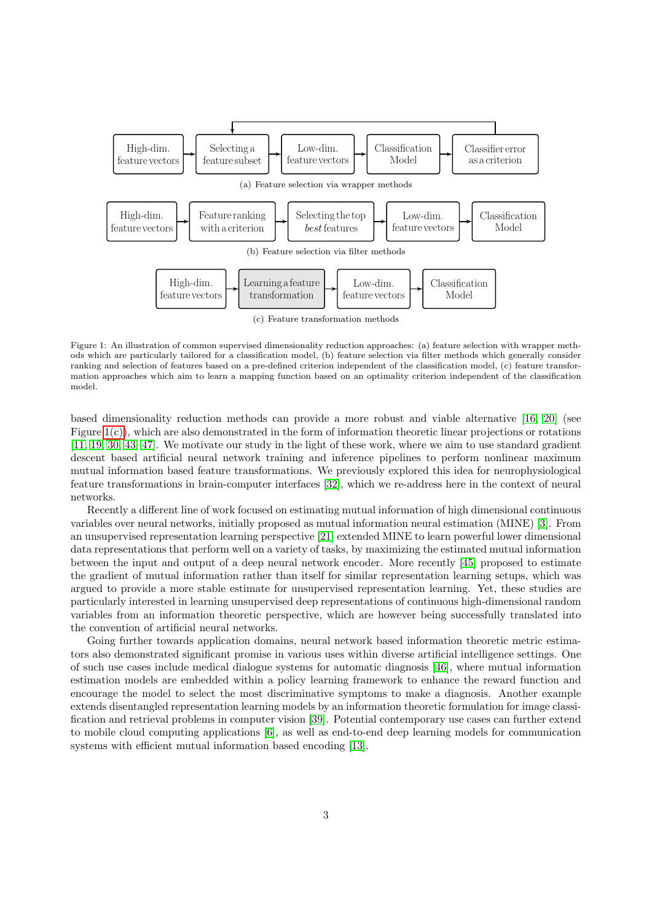<span id="page-2-1"></span><span id="page-2-0"></span>

(c) Feature transformation methods

<span id="page-2-2"></span>Figure 1: An illustration of common supervised dimensionality reduction approaches: (a) feature selection with wrapper methods which are particularly tailored for a classification model, (b) feature selection via filter methods which generally consider ranking and selection of features based on a pre-defined criterion independent of the classification model, (c) feature transformation approaches which aim to learn a mapping function based on an optimality criterion independent of the classification model.

based dimensionality reduction methods can provide a more robust and viable alternative [\[16,](#page-8-0) [20\]](#page-9-10) (see Figure [1\(c\)\)](#page-2-2), which are also demonstrated in the form of information theoretic linear projections or rotations [\[11,](#page-8-3) [19,](#page-9-5) [30,](#page-9-11) [43,](#page-9-6) [47\]](#page-9-12). We motivate our study in the light of these work, where we aim to use standard gradient descent based artificial neural network training and inference pipelines to perform nonlinear maximum mutual information based feature transformations. We previously explored this idea for neurophysiological feature transformations in brain-computer interfaces [\[32\]](#page-9-13), which we re-address here in the context of neural networks.

Recently a different line of work focused on estimating mutual information of high dimensional continuous variables over neural networks, initially proposed as mutual information neural estimation (MINE) [\[3\]](#page-8-7). From an unsupervised representation learning perspective [\[21\]](#page-9-14) extended MINE to learn powerful lower dimensional data representations that perform well on a variety of tasks, by maximizing the estimated mutual information between the input and output of a deep neural network encoder. More recently [\[45\]](#page-9-15) proposed to estimate the gradient of mutual information rather than itself for similar representation learning setups, which was argued to provide a more stable estimate for unsupervised representation learning. Yet, these studies are particularly interested in learning unsupervised deep representations of continuous high-dimensional random variables from an information theoretic perspective, which are however being successfully translated into the convention of artificial neural networks.

Going further towards application domains, neural network based information theoretic metric estimators also demonstrated significant promise in various uses within diverse artificial intelligence settings. One of such use cases include medical dialogue systems for automatic diagnosis [\[46\]](#page-9-16), where mutual information estimation models are embedded within a policy learning framework to enhance the reward function and encourage the model to select the most discriminative symptoms to make a diagnosis. Another example extends disentangled representation learning models by an information theoretic formulation for image classification and retrieval problems in computer vision [\[39\]](#page-9-17). Potential contemporary use cases can further extend to mobile cloud computing applications [\[6\]](#page-8-8), as well as end-to-end deep learning models for communication systems with efficient mutual information based encoding [\[13\]](#page-8-9).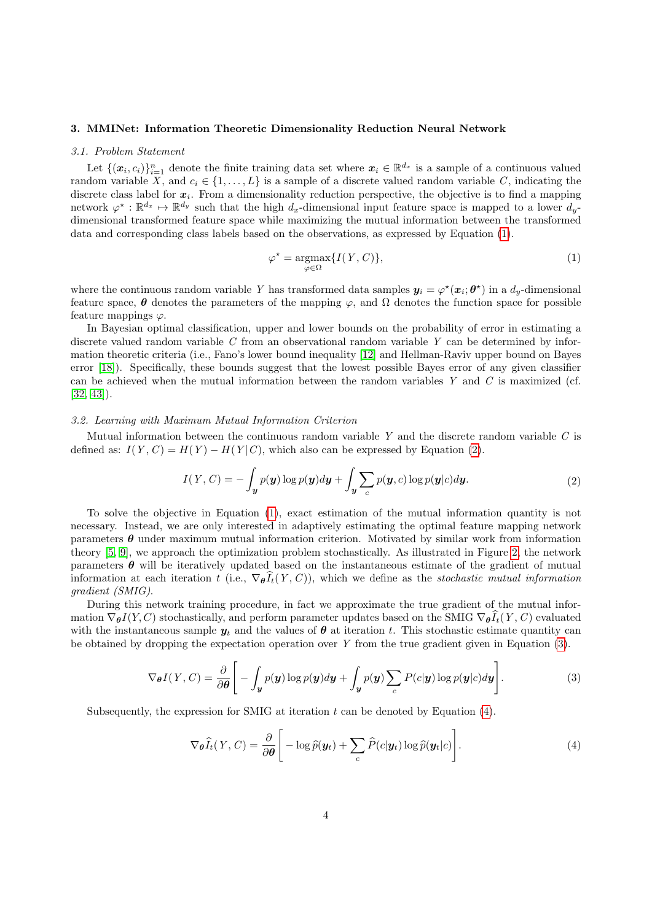#### <span id="page-3-0"></span>3. MMINet: Information Theoretic Dimensionality Reduction Neural Network

#### 3.1. Problem Statement

Let  $\{(\bm{x}_i, c_i)\}_{i=1}^n$  denote the finite training data set where  $\bm{x}_i \in \mathbb{R}^{d_x}$  is a sample of a continuous valued random variable X, and  $c_i \in \{1, \ldots, L\}$  is a sample of a discrete valued random variable C, indicating the discrete class label for  $x_i$ . From a dimensionality reduction perspective, the objective is to find a mapping network  $\varphi^* : \mathbb{R}^{d_x} \to \mathbb{R}^{d_y}$  such that the high  $d_x$ -dimensional input feature space is mapped to a lower  $d_y$ dimensional transformed feature space while maximizing the mutual information between the transformed data and corresponding class labels based on the observations, as expressed by Equation [\(1\)](#page-3-1).

<span id="page-3-2"></span><span id="page-3-1"></span>
$$
\varphi^* = \underset{\varphi \in \Omega}{\operatorname{argmax}} \{ I(Y, C) \},\tag{1}
$$

where the continuous random variable Y has transformed data samples  $y_i = \varphi^*(x_i; \theta^*)$  in a  $d_y$ -dimensional feature space,  $\theta$  denotes the parameters of the mapping  $\varphi$ , and  $\Omega$  denotes the function space for possible feature mappings  $\varphi$ .

In Bayesian optimal classification, upper and lower bounds on the probability of error in estimating a discrete valued random variable  $C$  from an observational random variable  $Y$  can be determined by information theoretic criteria (i.e., Fano's lower bound inequality [\[12\]](#page-8-10) and Hellman-Raviv upper bound on Bayes error [\[18\]](#page-8-11)). Specifically, these bounds suggest that the lowest possible Bayes error of any given classifier can be achieved when the mutual information between the random variables Y and C is maximized (cf.  $[32, 43]$  $[32, 43]$ .

## 3.2. Learning with Maximum Mutual Information Criterion

Mutual information between the continuous random variable  $Y$  and the discrete random variable  $C$  is defined as:  $I(Y, C) = H(Y) - H(Y|C)$ , which also can be expressed by Equation [\(2\)](#page-3-2).

$$
I(Y, C) = -\int_{\mathbf{y}} p(\mathbf{y}) \log p(\mathbf{y}) d\mathbf{y} + \int_{\mathbf{y}} \sum_{c} p(\mathbf{y}, c) \log p(\mathbf{y}|c) d\mathbf{y}.
$$
 (2)

To solve the objective in Equation [\(1\)](#page-3-1), exact estimation of the mutual information quantity is not necessary. Instead, we are only interested in adaptively estimating the optimal feature mapping network parameters  $\theta$  under maximum mutual information criterion. Motivated by similar work from information theory [\[5,](#page-8-12) [9\]](#page-8-13), we approach the optimization problem stochastically. As illustrated in Figure [2,](#page-4-2) the network parameters  $\theta$  will be iteratively updated based on the instantaneous estimate of the gradient of mutual information at each iteration t (i.e.,  $\nabla_{\theta} \tilde{I}_t(Y, C)$ ), which we define as the stochastic mutual information gradient (SMIG).

During this network training procedure, in fact we approximate the true gradient of the mutual information  $\nabla_{\theta} I(Y, C)$  stochastically, and perform parameter updates based on the SMIG  $\nabla_{\theta} \widehat{I}_t(Y, C)$  evaluated with the instantaneous sample  $y_t$  and the values of  $\theta$  at iteration t. This stochastic estimate quantity can be obtained by dropping the expectation operation over  $Y$  from the true gradient given in Equation  $(3)$ .

$$
\nabla_{\theta} I(Y, C) = \frac{\partial}{\partial \theta} \Bigg[ - \int_{\mathbf{y}} p(\mathbf{y}) \log p(\mathbf{y}) d\mathbf{y} + \int_{\mathbf{y}} p(\mathbf{y}) \sum_{c} P(c|\mathbf{y}) \log p(\mathbf{y}|c) d\mathbf{y} \Bigg]. \tag{3}
$$

Subsequently, the expression for SMIG at iteration  $t$  can be denoted by Equation  $(4)$ .

<span id="page-3-4"></span><span id="page-3-3"></span>
$$
\nabla_{\boldsymbol{\theta}} \widehat{I}_t(Y, C) = \frac{\partial}{\partial \boldsymbol{\theta}} \Bigg[ -\log \widehat{p}(\boldsymbol{y}_t) + \sum_c \widehat{P}(c|\boldsymbol{y}_t) \log \widehat{p}(\boldsymbol{y}_t|c) \Bigg]. \tag{4}
$$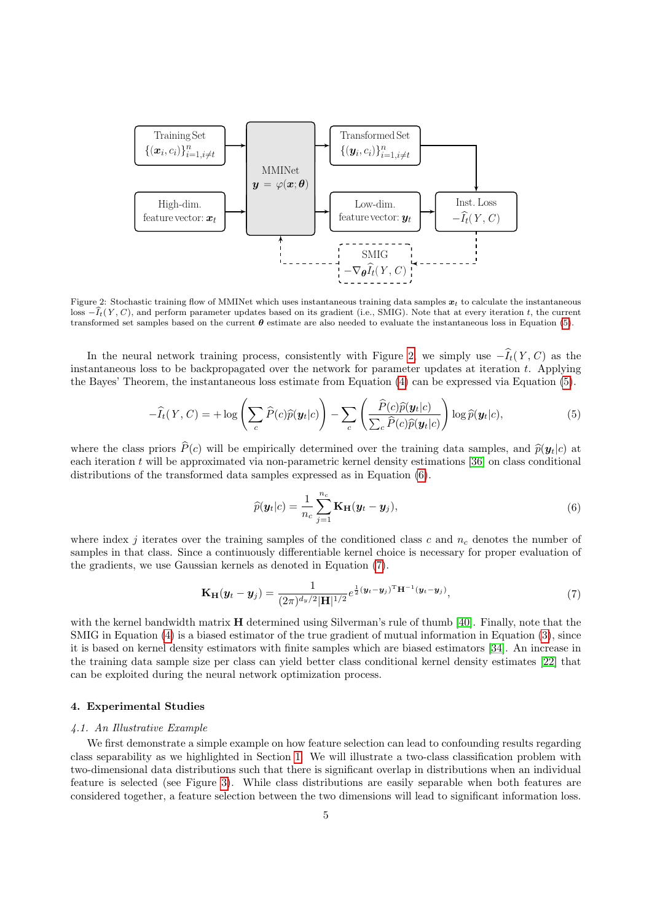

<span id="page-4-2"></span>Figure 2: Stochastic training flow of MMINet which uses instantaneous training data samples  $x_t$  to calculate the instantaneous loss  $-\hat{I}_t(Y, C)$ , and perform parameter updates based on its gradient (i.e., SMIG). Note that at every iteration t, the current transformed set samples based on the current  $\theta$  estimate are also needed to evaluate the instantaneous loss in Equation [\(5\)](#page-4-3).

In the neural network training process, consistently with Figure [2,](#page-4-2) we simply use  $-\widehat{I}_t(Y, C)$  as the instantaneous loss to be backpropagated over the network for parameter updates at iteration t. Applying the Bayes' Theorem, the instantaneous loss estimate from Equation [\(4\)](#page-3-4) can be expressed via Equation [\(5\)](#page-4-3).

$$
-\widehat{I}_t(Y,C) = +\log\left(\sum_c \widehat{P}(c)\widehat{p}(\mathbf{y}_t|c)\right) - \sum_c \left(\frac{\widehat{P}(c)\widehat{p}(\mathbf{y}_t|c)}{\sum_c \widehat{P}(c)\widehat{p}(\mathbf{y}_t|c)}\right) \log \widehat{p}(\mathbf{y}_t|c),\tag{5}
$$

where the class priors  $\hat{P}(c)$  will be empirically determined over the training data samples, and  $\hat{p}(\mathbf{y}_t|c)$  at each iteration t will be approximated via non-parametric kernel density estimations [\[36\]](#page-9-18) on class conditional distributions of the transformed data samples expressed as in Equation [\(6\)](#page-4-4).

<span id="page-4-5"></span><span id="page-4-4"></span><span id="page-4-3"></span>
$$
\widehat{p}(\boldsymbol{y}_t|c) = \frac{1}{n_c} \sum_{j=1}^{n_c} \mathbf{K_H}(\boldsymbol{y}_t - \boldsymbol{y}_j),
$$
\n(6)

where index j iterates over the training samples of the conditioned class c and  $n_c$  denotes the number of samples in that class. Since a continuously differentiable kernel choice is necessary for proper evaluation of the gradients, we use Gaussian kernels as denoted in Equation [\(7\)](#page-4-5).

$$
\mathbf{K}_{\mathbf{H}}(\mathbf{y}_t - \mathbf{y}_j) = \frac{1}{(2\pi)^{d_y/2} |\mathbf{H}|^{1/2}} e^{\frac{1}{2}(\mathbf{y}_t - \mathbf{y}_j)^{\mathrm{T}} \mathbf{H}^{-1}(\mathbf{y}_t - \mathbf{y}_j)},
$$
(7)

with the kernel bandwidth matrix **H** determined using Silverman's rule of thumb [\[40\]](#page-9-19). Finally, note that the SMIG in Equation [\(4\)](#page-3-4) is a biased estimator of the true gradient of mutual information in Equation [\(3\)](#page-3-3), since it is based on kernel density estimators with finite samples which are biased estimators [\[34\]](#page-9-20). An increase in the training data sample size per class can yield better class conditional kernel density estimates [\[22\]](#page-9-21) that can be exploited during the neural network optimization process.

#### <span id="page-4-0"></span>4. Experimental Studies

#### <span id="page-4-1"></span>4.1. An Illustrative Example

We first demonstrate a simple example on how feature selection can lead to confounding results regarding class separability as we highlighted in Section [1.](#page-0-0) We will illustrate a two-class classification problem with two-dimensional data distributions such that there is significant overlap in distributions when an individual feature is selected (see Figure [3\)](#page-5-2). While class distributions are easily separable when both features are considered together, a feature selection between the two dimensions will lead to significant information loss.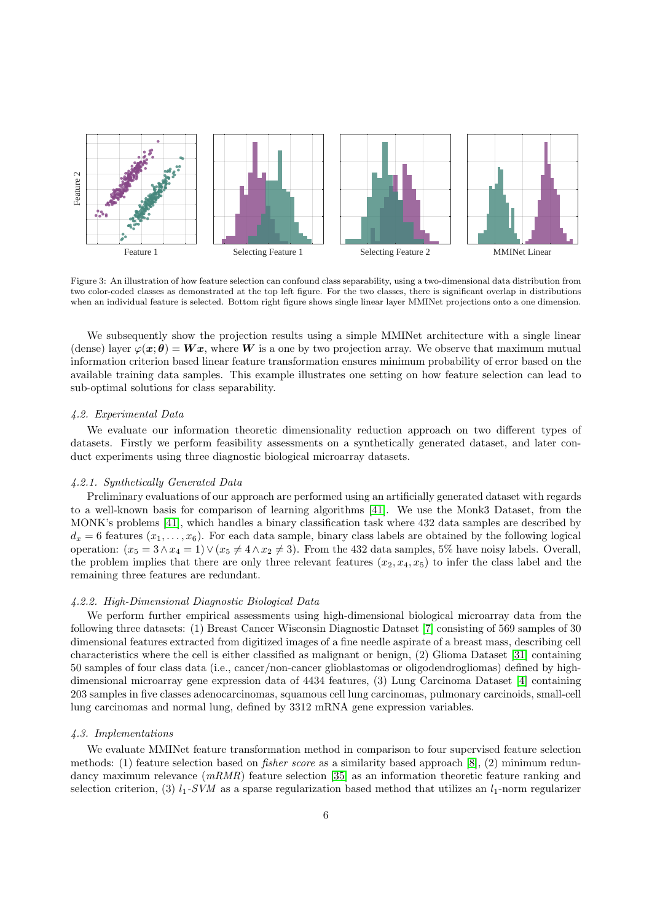

<span id="page-5-2"></span>Figure 3: An illustration of how feature selection can confound class separability, using a two-dimensional data distribution from two color-coded classes as demonstrated at the top left figure. For the two classes, there is significant overlap in distributions when an individual feature is selected. Bottom right figure shows single linear layer MMINet projections onto a one dimension.

We subsequently show the projection results using a simple MMINet architecture with a single linear (dense) layer  $\varphi(x;\theta) = Wx$ , where W is a one by two projection array. We observe that maximum mutual information criterion based linear feature transformation ensures minimum probability of error based on the available training data samples. This example illustrates one setting on how feature selection can lead to sub-optimal solutions for class separability.

## <span id="page-5-0"></span>4.2. Experimental Data

We evaluate our information theoretic dimensionality reduction approach on two different types of datasets. Firstly we perform feasibility assessments on a synthetically generated dataset, and later conduct experiments using three diagnostic biological microarray datasets.

## 4.2.1. Synthetically Generated Data

Preliminary evaluations of our approach are performed using an artificially generated dataset with regards to a well-known basis for comparison of learning algorithms [\[41\]](#page-9-22). We use the Monk3 Dataset, from the MONK's problems [\[41\]](#page-9-22), which handles a binary classification task where 432 data samples are described by  $d_x = 6$  features  $(x_1, \ldots, x_6)$ . For each data sample, binary class labels are obtained by the following logical operation:  $(x_5 = 3 \land x_4 = 1) \lor (x_5 \neq 4 \land x_2 \neq 3)$ . From the 432 data samples, 5% have noisy labels. Overall, the problem implies that there are only three relevant features  $(x_2, x_4, x_5)$  to infer the class label and the remaining three features are redundant.

#### 4.2.2. High-Dimensional Diagnostic Biological Data

We perform further empirical assessments using high-dimensional biological microarray data from the following three datasets: (1) Breast Cancer Wisconsin Diagnostic Dataset [\[7\]](#page-8-14) consisting of 569 samples of 30 dimensional features extracted from digitized images of a fine needle aspirate of a breast mass, describing cell characteristics where the cell is either classified as malignant or benign, (2) Glioma Dataset [\[31\]](#page-9-23) containing 50 samples of four class data (i.e., cancer/non-cancer glioblastomas or oligodendrogliomas) defined by highdimensional microarray gene expression data of 4434 features, (3) Lung Carcinoma Dataset [\[4\]](#page-8-15) containing 203 samples in five classes adenocarcinomas, squamous cell lung carcinomas, pulmonary carcinoids, small-cell lung carcinomas and normal lung, defined by 3312 mRNA gene expression variables.

## <span id="page-5-1"></span>4.3. Implementations

We evaluate MMINet feature transformation method in comparison to four supervised feature selection methods: (1) feature selection based on fisher score as a similarity based approach [\[8\]](#page-8-16), (2) minimum redundancy maximum relevance  $(mRMR)$  feature selection [\[35\]](#page-9-8) as an information theoretic feature ranking and selection criterion, (3)  $l_1$ -SVM as a sparse regularization based method that utilizes an  $l_1$ -norm regularizer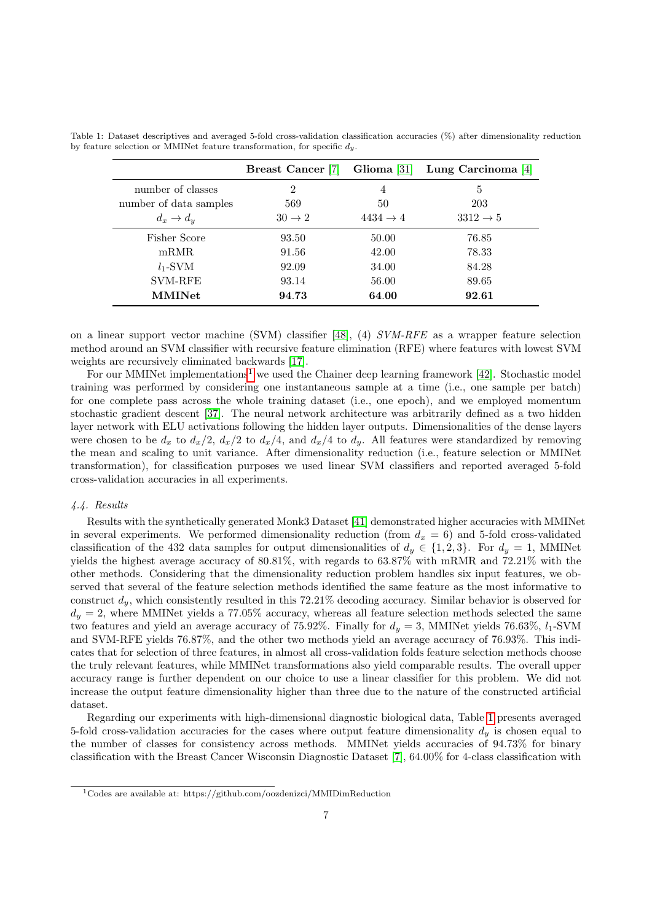<span id="page-6-2"></span>

|                        | <b>Breast Cancer</b> [7] | Glioma $ 31 $        | Lung Carcinoma [4]   |
|------------------------|--------------------------|----------------------|----------------------|
| number of classes      | $\overline{2}$           | 4                    | 5                    |
| number of data samples | 569                      | 50                   | 203                  |
| $d_x \rightarrow d_y$  | $30 \rightarrow 2$       | $4434 \rightarrow 4$ | $3312 \rightarrow 5$ |
| Fisher Score           | 93.50                    | 50.00                | 76.85                |
| mRMR                   | 91.56                    | 42.00                | 78.33                |
| $l_1$ -SVM             | 92.09                    | 34.00                | 84.28                |
| <b>SVM-RFE</b>         | 93.14                    | 56.00                | 89.65                |
| <b>MMINet</b>          | 94.73                    | 64.00                | 92.61                |

Table 1: Dataset descriptives and averaged 5-fold cross-validation classification accuracies (%) after dimensionality reduction by feature selection or MMINet feature transformation, for specific  $d<sub>y</sub>$ .

on a linear support vector machine (SVM) classifier [\[48\]](#page-9-24), (4) SVM-RFE as a wrapper feature selection method around an SVM classifier with recursive feature elimination (RFE) where features with lowest SVM weights are recursively eliminated backwards [\[17\]](#page-8-5).

For our MMINet implementations<sup>[1](#page-6-1)</sup> we used the Chainer deep learning framework [\[42\]](#page-9-25). Stochastic model training was performed by considering one instantaneous sample at a time (i.e., one sample per batch) for one complete pass across the whole training dataset (i.e., one epoch), and we employed momentum stochastic gradient descent [\[37\]](#page-9-26). The neural network architecture was arbitrarily defined as a two hidden layer network with ELU activations following the hidden layer outputs. Dimensionalities of the dense layers were chosen to be  $d_x$  to  $d_x/2$ ,  $d_x/2$  to  $d_x/4$ , and  $d_x/4$  to  $d_y$ . All features were standardized by removing the mean and scaling to unit variance. After dimensionality reduction (i.e., feature selection or MMINet transformation), for classification purposes we used linear SVM classifiers and reported averaged 5-fold cross-validation accuracies in all experiments.

#### <span id="page-6-0"></span>4.4. Results

Results with the synthetically generated Monk3 Dataset [\[41\]](#page-9-22) demonstrated higher accuracies with MMINet in several experiments. We performed dimensionality reduction (from  $d_x = 6$ ) and 5-fold cross-validated classification of the 432 data samples for output dimensionalities of  $d_y \in \{1,2,3\}$ . For  $d_y = 1$ , MMINet yields the highest average accuracy of 80.81%, with regards to 63.87% with mRMR and 72.21% with the other methods. Considering that the dimensionality reduction problem handles six input features, we observed that several of the feature selection methods identified the same feature as the most informative to construct  $d_y$ , which consistently resulted in this 72.21% decoding accuracy. Similar behavior is observed for  $d_y = 2$ , where MMINet yields a 77.05% accuracy, whereas all feature selection methods selected the same two features and yield an average accuracy of 75.92%. Finally for  $d_y = 3$ , MMINet yields 76.63%,  $l_1$ -SVM and SVM-RFE yields 76.87%, and the other two methods yield an average accuracy of 76.93%. This indicates that for selection of three features, in almost all cross-validation folds feature selection methods choose the truly relevant features, while MMINet transformations also yield comparable results. The overall upper accuracy range is further dependent on our choice to use a linear classifier for this problem. We did not increase the output feature dimensionality higher than three due to the nature of the constructed artificial dataset.

Regarding our experiments with high-dimensional diagnostic biological data, Table [1](#page-6-2) presents averaged 5-fold cross-validation accuracies for the cases where output feature dimensionality  $d<sub>y</sub>$  is chosen equal to the number of classes for consistency across methods. MMINet yields accuracies of 94.73% for binary classification with the Breast Cancer Wisconsin Diagnostic Dataset [\[7\]](#page-8-14), 64.00% for 4-class classification with

<span id="page-6-1"></span><sup>1</sup>Codes are available at: https://github.com/oozdenizci/MMIDimReduction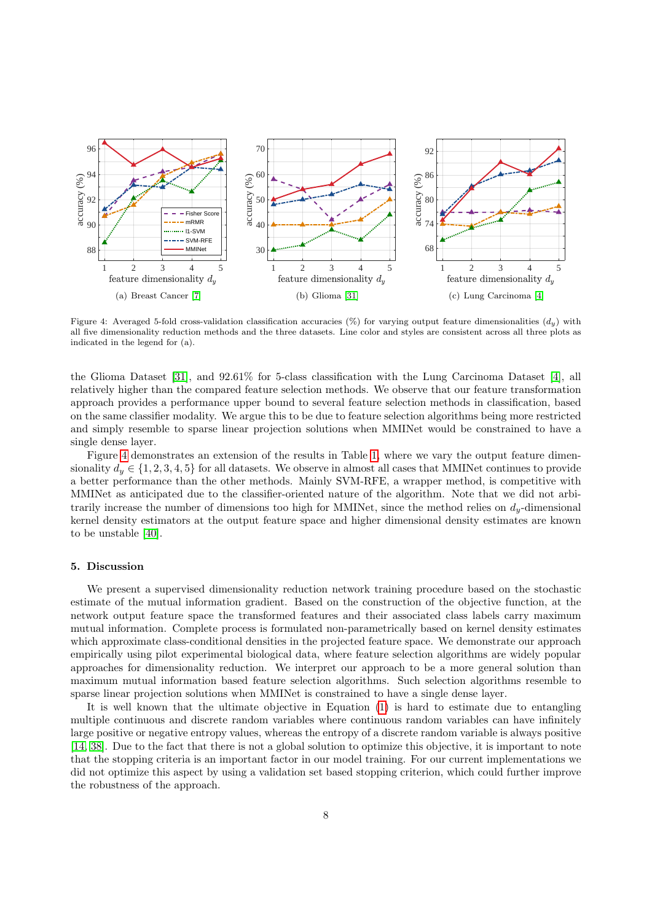

<span id="page-7-0"></span>Figure 4: Averaged 5-fold cross-validation classification accuracies (%) for varying output feature dimensionalities  $(d_y)$  with all five dimensionality reduction methods and the three datasets. Line color and styles are consistent across all three plots as indicated in the legend for (a).

the Glioma Dataset [\[31\]](#page-9-23), and 92.61% for 5-class classification with the Lung Carcinoma Dataset [\[4\]](#page-8-15), all relatively higher than the compared feature selection methods. We observe that our feature transformation approach provides a performance upper bound to several feature selection methods in classification, based on the same classifier modality. We argue this to be due to feature selection algorithms being more restricted and simply resemble to sparse linear projection solutions when MMINet would be constrained to have a single dense layer.

Figure [4](#page-7-0) demonstrates an extension of the results in Table [1,](#page-6-2) where we vary the output feature dimensionality  $d_y \in \{1, 2, 3, 4, 5\}$  for all datasets. We observe in almost all cases that MMINet continues to provide a better performance than the other methods. Mainly SVM-RFE, a wrapper method, is competitive with MMINet as anticipated due to the classifier-oriented nature of the algorithm. Note that we did not arbitrarily increase the number of dimensions too high for MMINet, since the method relies on  $d_y$ -dimensional kernel density estimators at the output feature space and higher dimensional density estimates are known to be unstable [\[40\]](#page-9-19).

## 5. Discussion

We present a supervised dimensionality reduction network training procedure based on the stochastic estimate of the mutual information gradient. Based on the construction of the objective function, at the network output feature space the transformed features and their associated class labels carry maximum mutual information. Complete process is formulated non-parametrically based on kernel density estimates which approximate class-conditional densities in the projected feature space. We demonstrate our approach empirically using pilot experimental biological data, where feature selection algorithms are widely popular approaches for dimensionality reduction. We interpret our approach to be a more general solution than maximum mutual information based feature selection algorithms. Such selection algorithms resemble to sparse linear projection solutions when MMINet is constrained to have a single dense layer.

It is well known that the ultimate objective in Equation [\(1\)](#page-3-1) is hard to estimate due to entangling multiple continuous and discrete random variables where continuous random variables can have infinitely large positive or negative entropy values, whereas the entropy of a discrete random variable is always positive [\[14,](#page-8-4) [38\]](#page-9-7). Due to the fact that there is not a global solution to optimize this objective, it is important to note that the stopping criteria is an important factor in our model training. For our current implementations we did not optimize this aspect by using a validation set based stopping criterion, which could further improve the robustness of the approach.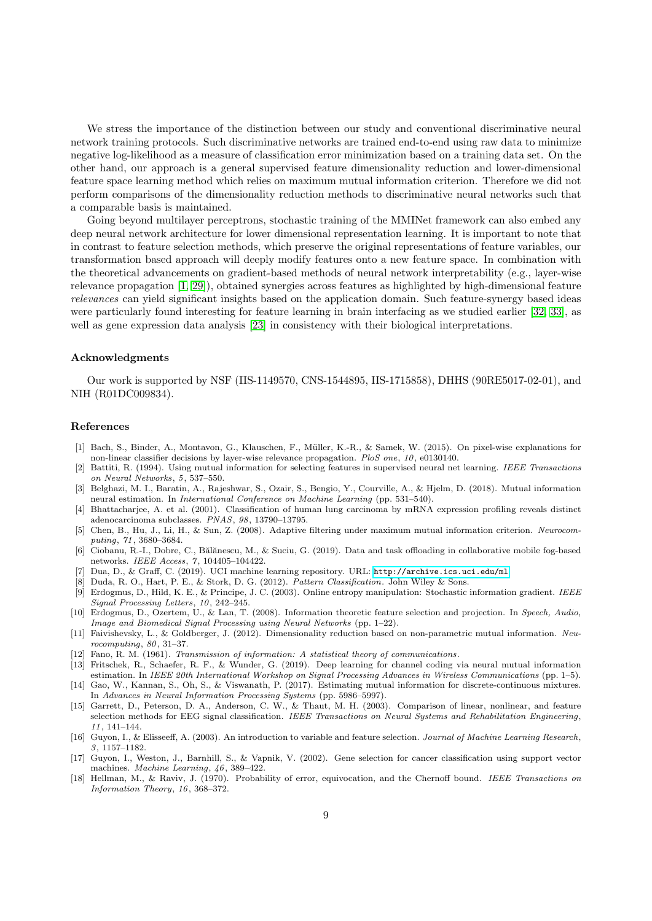We stress the importance of the distinction between our study and conventional discriminative neural network training protocols. Such discriminative networks are trained end-to-end using raw data to minimize negative log-likelihood as a measure of classification error minimization based on a training data set. On the other hand, our approach is a general supervised feature dimensionality reduction and lower-dimensional feature space learning method which relies on maximum mutual information criterion. Therefore we did not perform comparisons of the dimensionality reduction methods to discriminative neural networks such that a comparable basis is maintained.

Going beyond multilayer perceptrons, stochastic training of the MMINet framework can also embed any deep neural network architecture for lower dimensional representation learning. It is important to note that in contrast to feature selection methods, which preserve the original representations of feature variables, our transformation based approach will deeply modify features onto a new feature space. In combination with the theoretical advancements on gradient-based methods of neural network interpretability (e.g., layer-wise relevance propagation [\[1,](#page-8-17) [29\]](#page-9-27)), obtained synergies across features as highlighted by high-dimensional feature relevances can yield significant insights based on the application domain. Such feature-synergy based ideas were particularly found interesting for feature learning in brain interfacing as we studied earlier [\[32,](#page-9-13) [33\]](#page-9-28), as well as gene expression data analysis [\[23\]](#page-9-29) in consistency with their biological interpretations.

#### Acknowledgments

Our work is supported by NSF (IIS-1149570, CNS-1544895, IIS-1715858), DHHS (90RE5017-02-01), and NIH (R01DC009834).

## References

- <span id="page-8-17"></span>[1] Bach, S., Binder, A., Montavon, G., Klauschen, F., Müller, K.-R., & Samek, W. (2015). On pixel-wise explanations for non-linear classifier decisions by layer-wise relevance propagation. PloS one, 10, e0130140.
- <span id="page-8-1"></span>[2] Battiti, R. (1994). Using mutual information for selecting features in supervised neural net learning. IEEE Transactions on Neural Networks, 5, 537–550.
- <span id="page-8-7"></span>[3] Belghazi, M. I., Baratin, A., Rajeshwar, S., Ozair, S., Bengio, Y., Courville, A., & Hjelm, D. (2018). Mutual information neural estimation. In International Conference on Machine Learning (pp. 531–540).
- <span id="page-8-15"></span>[4] Bhattacharjee, A. et al. (2001). Classification of human lung carcinoma by mRNA expression profiling reveals distinct adenocarcinoma subclasses. PNAS, 98, 13790–13795.
- <span id="page-8-12"></span>[5] Chen, B., Hu, J., Li, H., & Sun, Z. (2008). Adaptive filtering under maximum mutual information criterion. Neurocomputing, 71, 3680–3684.
- <span id="page-8-8"></span>[6] Ciobanu, R.-I., Dobre, C., B˘al˘anescu, M., & Suciu, G. (2019). Data and task offloading in collaborative mobile fog-based networks. IEEE Access, 7, 104405–104422.
- <span id="page-8-14"></span>[7] Dua, D., & Graff, C. (2019). UCI machine learning repository. URL: <http://archive.ics.uci.edu/ml>.
- <span id="page-8-16"></span>[8] Duda, R. O., Hart, P. E., & Stork, D. G. (2012). Pattern Classification. John Wiley & Sons.
- <span id="page-8-13"></span>[9] Erdogmus, D., Hild, K. E., & Principe, J. C. (2003). Online entropy manipulation: Stochastic information gradient. IEEE Signal Processing Letters, 10, 242–245.
- <span id="page-8-2"></span>[10] Erdogmus, D., Ozertem, U., & Lan, T. (2008). Information theoretic feature selection and projection. In Speech, Audio, Image and Biomedical Signal Processing using Neural Networks (pp. 1–22).
- <span id="page-8-3"></span>[11] Faivishevsky, L., & Goldberger, J. (2012). Dimensionality reduction based on non-parametric mutual information. Neurocomputing, 80, 31–37.
- <span id="page-8-10"></span>[12] Fano, R. M. (1961). Transmission of information: A statistical theory of communications .
- <span id="page-8-9"></span>[13] Fritschek, R., Schaefer, R. F., & Wunder, G. (2019). Deep learning for channel coding via neural mutual information estimation. In IEEE 20th International Workshop on Signal Processing Advances in Wireless Communications (pp. 1–5). [14] Gao, W., Kannan, S., Oh, S., & Viswanath, P. (2017). Estimating mutual information for discrete-continuous mixtures.
- <span id="page-8-4"></span>In Advances in Neural Information Processing Systems (pp. 5986–5997).
- <span id="page-8-6"></span>[15] Garrett, D., Peterson, D. A., Anderson, C. W., & Thaut, M. H. (2003). Comparison of linear, nonlinear, and feature selection methods for EEG signal classification. IEEE Transactions on Neural Systems and Rehabilitation Engineering, 11, 141–144.
- <span id="page-8-0"></span>[16] Guyon, I., & Elisseeff, A. (2003). An introduction to variable and feature selection. Journal of Machine Learning Research, 3, 1157–1182.
- <span id="page-8-5"></span>[17] Guyon, I., Weston, J., Barnhill, S., & Vapnik, V. (2002). Gene selection for cancer classification using support vector machines. Machine Learning, 46, 389–422.
- <span id="page-8-11"></span>[18] Hellman, M., & Raviv, J. (1970). Probability of error, equivocation, and the Chernoff bound. IEEE Transactions on Information Theory, 16, 368–372.